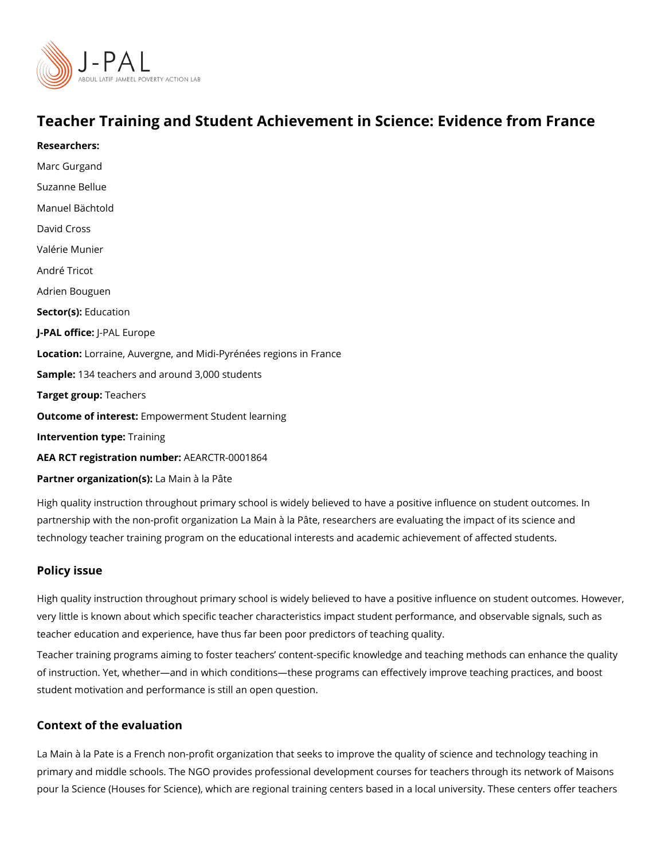# Teacher Training and Student Achievement in Science: Evid

[Marc Gur](https://www.povertyactionlab.org/person/gurgand)gand [Suzanne B](https://www.povertyactionlab.org/person/bellue)ellue Manuel Bächtold David Cross Valérie Munier André Tricot Adrien Bouguen Sector([Educat](https://www.povertyactionlab.org/sector/education)ion J-PAL oftli-cReAL Europe Locatiohorraine, Auvergne, and Midi-Pyrénées regions in France Sample: 34 teachers and around 3,000 students Target groupachers Outcome of inteler ensptowerment Student learning Intervention  $t\overline{\Psi}$ pæining AEA RCT registration ArEuAnRbGeTR-0001864 Partner organizatLianMsa) in à la Pâte

High quality instruction throughout primary school is widely believed to have a positive in partnership with the non-profit organization La Main à la Pâte, researchers are evaluating technology teacher training program on the educational interests and academic achieveme

### Policy issue

Researchers:

High quality instruction throughout primary school is widely believed to have a positive ir very little is known about which specific teacher characteristics impact student performan teacher education and experience, have thus far been poor predictors of teaching quality. Teacher training programs aiming to foster teachers content-specific knowledge and teac of instruction. Yet, awn de the ewhich conditions a sprograms can effectively improve teaching pract student motivation and performance is still an open question.

#### Context of the evaluation

La Main à la Pate is a French non-profit organization that seeks to improve the quality of primary and middle schools. The NGO provides professional development courses for teac pour la Science (Houses for Science), which are regional training centers based in a loca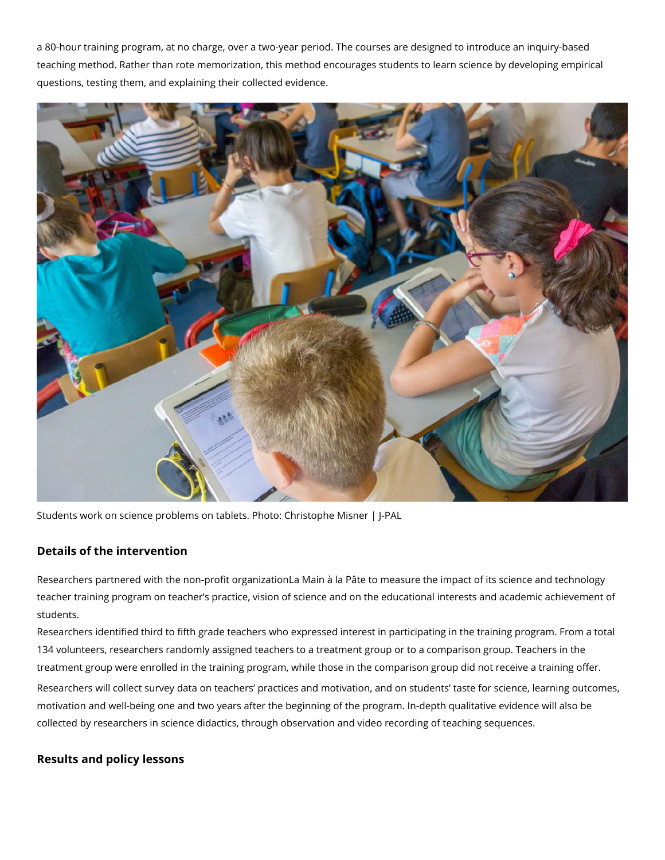a 80-hour training program, at no charge, over a two-year period. The courses are designed to introduce an inquiry-based teaching method. Rather than rote memorization, this method encourages students to learn science by developing empirical questions, testing them, and explaining their collected evidence.



Students work on science problems on tablets. Photo: Christophe Misner | J-PAL

## **Details of the intervention**

Researchers partnered with the non-profit organizationLa Main à la Pâte to measure the impact of its science and technology teacher training program on teacher's practice, vision of science and on the educational interests and academic achievement of students.

Researchers identified third to fifth grade teachers who expressed interest in participating in the training program. From a total 134 volunteers, researchers randomly assigned teachers to a treatment group or to a comparison group. Teachers in the treatment group were enrolled in the training program, while those in the comparison group did not receive a training offer. Researchers will collect survey data on teachers' practices and motivation, and on students' taste for science, learning outcomes, motivation and well-being one and two years after the beginning of the program. In-depth qualitative evidence will also be collected by researchers in science didactics, through observation and video recording of teaching sequences.

## **Results and policy lessons**